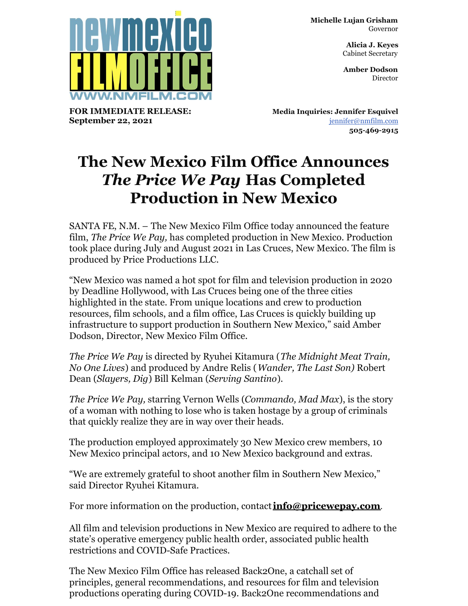**Michelle Lujan Grisham** Governor

> **Alicia J. Keyes** Cabinet Secretary

> **Amber Dodson Director**



**FOR IMMEDIATE RELEASE: September 22, 2021**

**Media Inquiries: Jennifer Esquivel** [jennifer@nmfilm.com](mailto:jennifer@nmfilm.com) **505-469-2915**

## **The New Mexico Film Office Announces** *The Price We Pay* **Has Completed Production in New Mexico**

SANTA FE, N.M. – The New Mexico Film Office today announced the feature film, *The Price We Pay,* has completed production in New Mexico. Production took place during July and August 2021 in Las Cruces, New Mexico. The film is produced by Price Productions LLC.

"New Mexico was named a hot spot for film and television production in 2020 by Deadline Hollywood, with Las Cruces being one of the three cities highlighted in the state. From unique locations and crew to production resources, film schools, and a film office, Las Cruces is quickly building up infrastructure to support production in Southern New Mexico," said Amber Dodson, Director, New Mexico Film Office.

*The Price We Pay* is directed by Ryuhei Kitamura (*The Midnight Meat Train, No One Lives*) and produced by Andre Relis (*Wander, The Last Son)* Robert Dean (*Slayers, Dig*) Bill Kelman (*Serving Santino*).

*The Price We Pay,* starring Vernon Wells (*Commando, Mad Max*), is the story of a woman with nothing to lose who is taken hostage by a group of criminals that quickly realize they are in way over their heads.

The production employed approximately 30 New Mexico crew members, 10 New Mexico principal actors, and 10 New Mexico background and extras.

"We are extremely grateful to shoot another film in Southern New Mexico," said Director Ryuhei Kitamura.

For more information on the production, contact**[info@pricewepay.com](mailto:info@pricewepay.com)**.

All film and television productions in New Mexico are required to adhere to the state's operative emergency public health order, associated public health restrictions and COVID-Safe Practices.

The New Mexico Film Office has released Back2One, a catchall set of principles, general recommendations, and resources for film and television productions operating during COVID-19. Back2One recommendations and